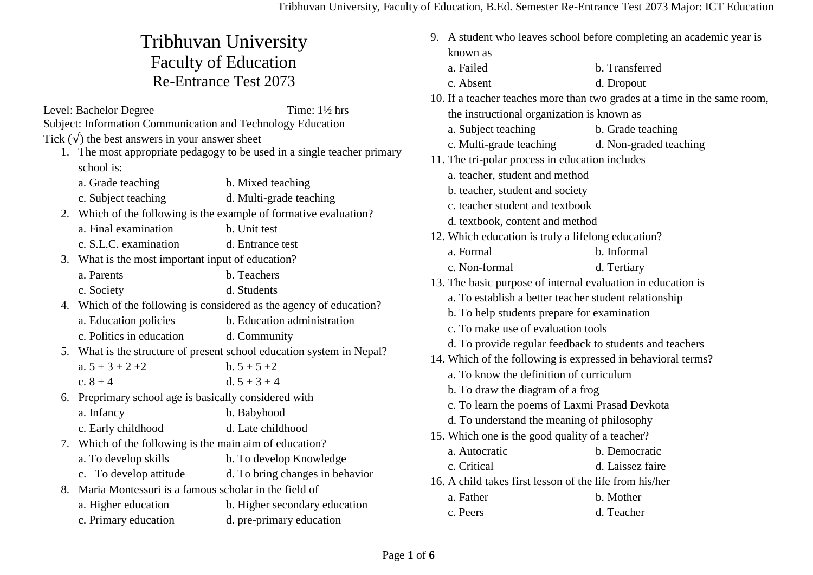## Tribhuvan University Faculty of Education Re-Entrance Test 2073

Level: Bachelor Degree Time:  $1\frac{1}{2}$  hrs Subject: Information Communication and Technology Education Tick  $(\sqrt{\ } )$  the best answers in your answer sheet

- 1. The most appropriate pedagogy to be used in a single teacher primary school is:
	- a. Grade teaching b. Mixed teaching
	- c. Subject teaching d. Multi-grade teaching
- 2. Which of the following is the example of formative evaluation?
	- a. Final examination b. Unit test
	- c. S.L.C. examination d. Entrance test
- 3. What is the most important input of education?
	- a. Parents b. Teachers c. Society d. Students
- 4. Which of the following is considered as the agency of education?
	- a. Education policies b. Education administration
	- c. Politics in education d. Community
- 5. What is the structure of present school education system in Nepal?
	- a.  $5 + 3 + 2 + 2$  b.  $5 + 5 + 2$ c.  $8 + 4$  d.  $5 + 3 + 4$
- 6. Preprimary school age is basically considered with a. Infancy b. Babyhood
	- c. Early childhood d. Late childhood
- 7. Which of the following is the main aim of education?
	- a. To develop skills b. To develop Knowledge
	- c. To develop attitude d. To bring changes in behavior
- 8. Maria Montessori is a famous scholar in the field of
	- a. Higher education b. Higher secondary education
	- c. Primary education d. pre-primary education

|                                            | 9. A student who leaves school before completing an academic year is |                                                                           |  |
|--------------------------------------------|----------------------------------------------------------------------|---------------------------------------------------------------------------|--|
| known as                                   |                                                                      |                                                                           |  |
|                                            | a. Failed                                                            | b. Transferred                                                            |  |
|                                            | c. Absent                                                            | d. Dropout                                                                |  |
|                                            |                                                                      | 10. If a teacher teaches more than two grades at a time in the same room, |  |
| the instructional organization is known as |                                                                      |                                                                           |  |
|                                            | a. Subject teaching                                                  | b. Grade teaching                                                         |  |
|                                            | c. Multi-grade teaching                                              | d. Non-graded teaching                                                    |  |
|                                            | 11. The tri-polar process in education includes                      |                                                                           |  |
|                                            | a. teacher, student and method                                       |                                                                           |  |
|                                            | b. teacher, student and society                                      |                                                                           |  |
|                                            | c. teacher student and textbook                                      |                                                                           |  |
|                                            | d. textbook, content and method                                      |                                                                           |  |
|                                            | 12. Which education is truly a lifelong education?                   |                                                                           |  |
|                                            | a. Formal                                                            | b. Informal                                                               |  |
|                                            | c. Non-formal                                                        | d. Tertiary                                                               |  |
|                                            | 13. The basic purpose of internal evaluation in education is         |                                                                           |  |
|                                            | a. To establish a better teacher student relationship                |                                                                           |  |
|                                            | b. To help students prepare for examination                          |                                                                           |  |
|                                            | c. To make use of evaluation tools                                   |                                                                           |  |
|                                            | d. To provide regular feedback to students and teachers              |                                                                           |  |
|                                            | 14. Which of the following is expressed in behavioral terms?         |                                                                           |  |
|                                            | a. To know the definition of curriculum                              |                                                                           |  |
|                                            | b. To draw the diagram of a frog                                     |                                                                           |  |
|                                            | c. To learn the poems of Laxmi Prasad Devkota                        |                                                                           |  |
|                                            | d. To understand the meaning of philosophy                           |                                                                           |  |
|                                            | 15. Which one is the good quality of a teacher?                      |                                                                           |  |
|                                            | a. Autocratic                                                        | b. Democratic                                                             |  |
|                                            | c. Critical                                                          | d. Laissez faire                                                          |  |
|                                            | 16. A child takes first lesson of the life from his/her              |                                                                           |  |
|                                            | a. Father                                                            | b. Mother                                                                 |  |
|                                            | c. Peers                                                             | d. Teacher                                                                |  |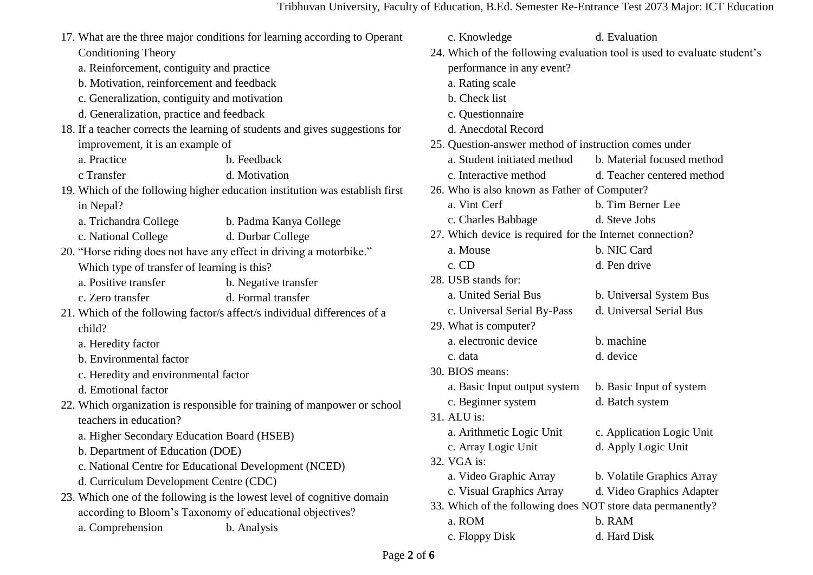|                                              | 17. What are the three major conditions for learning according to Operant    | c. Knowledge                                                | d. Evaluation                                                            |
|----------------------------------------------|------------------------------------------------------------------------------|-------------------------------------------------------------|--------------------------------------------------------------------------|
| <b>Conditioning Theory</b>                   |                                                                              |                                                             | 24. Which of the following evaluation tool is used to evaluate student's |
| a. Reinforcement, contiguity and practice    |                                                                              | performance in any event?                                   |                                                                          |
| b. Motivation, reinforcement and feedback    |                                                                              | a. Rating scale                                             |                                                                          |
| c. Generalization, contiguity and motivation |                                                                              | b. Check list                                               |                                                                          |
| d. Generalization, practice and feedback     |                                                                              | c. Questionnaire                                            |                                                                          |
|                                              | 18. If a teacher corrects the learning of students and gives suggestions for | d. Anecdotal Record                                         |                                                                          |
| improvement, it is an example of             |                                                                              | 25. Question-answer method of instruction comes under       |                                                                          |
| a. Practice                                  | b. Feedback                                                                  | a. Student initiated method                                 | b. Material focused method                                               |
| c Transfer                                   | d. Motivation                                                                | c. Interactive method                                       | d. Teacher centered method                                               |
|                                              | 19. Which of the following higher education institution was establish first  | 26. Who is also known as Father of Computer?                |                                                                          |
| in Nepal?                                    |                                                                              | a. Vint Cerf                                                | b. Tim Berner Lee                                                        |
| a. Trichandra College                        | b. Padma Kanya College                                                       | c. Charles Babbage                                          | d. Steve Jobs                                                            |
| c. National College                          | d. Durbar College                                                            | 27. Which device is required for the Internet connection?   |                                                                          |
|                                              | 20. "Horse riding does not have any effect in driving a motorbike."          | a. Mouse                                                    | b. NIC Card                                                              |
| Which type of transfer of learning is this?  |                                                                              | c. CD                                                       | d. Pen drive                                                             |
| a. Positive transfer                         | b. Negative transfer                                                         | 28. USB stands for:                                         |                                                                          |
| c. Zero transfer                             | d. Formal transfer                                                           | a. United Serial Bus                                        | b. Universal System Bus                                                  |
|                                              | 21. Which of the following factor/s affect/s individual differences of a     | c. Universal Serial By-Pass                                 | d. Universal Serial Bus                                                  |
| child?                                       |                                                                              | 29. What is computer?                                       |                                                                          |
| a. Heredity factor                           |                                                                              | a. electronic device                                        | b. machine                                                               |
| b. Environmental factor                      |                                                                              | c. data                                                     | d. device                                                                |
| c. Heredity and environmental factor         |                                                                              | 30. BIOS means:                                             |                                                                          |
| d. Emotional factor                          |                                                                              | a. Basic Input output system                                | b. Basic Input of system                                                 |
|                                              | 22. Which organization is responsible for training of manpower or school     | c. Beginner system                                          | d. Batch system                                                          |
| teachers in education?                       |                                                                              | 31. ALU is:                                                 |                                                                          |
| a. Higher Secondary Education Board (HSEB)   |                                                                              | a. Arithmetic Logic Unit                                    | c. Application Logic Unit                                                |
| b. Department of Education (DOE)             |                                                                              | c. Array Logic Unit                                         | d. Apply Logic Unit                                                      |
|                                              | c. National Centre for Educational Development (NCED)                        | 32. VGA is:                                                 |                                                                          |
| d. Curriculum Development Centre (CDC)       |                                                                              | a. Video Graphic Array                                      | b. Volatile Graphics Array                                               |
|                                              | 23. Which one of the following is the lowest level of cognitive domain       | c. Visual Graphics Array                                    | d. Video Graphics Adapter                                                |
|                                              | according to Bloom's Taxonomy of educational objectives?                     | 33. Which of the following does NOT store data permanently? |                                                                          |
| a. Comprehension                             | b. Analysis                                                                  | a. ROM                                                      | b. RAM                                                                   |
|                                              |                                                                              | c. Floppy Disk                                              | d. Hard Disk                                                             |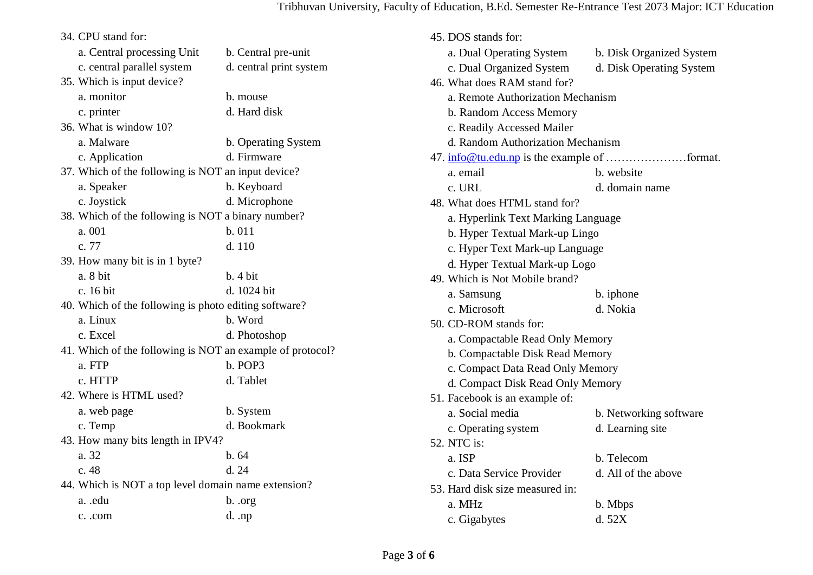## Tribhuvan University, Faculty of Education, B.Ed. Semester Re-Entrance Test 2073 Major: ICT Education

| 34. CPU stand for:                                        |                         |
|-----------------------------------------------------------|-------------------------|
| a. Central processing Unit                                | b. Central pre-unit     |
| c. central parallel system                                | d. central print system |
| 35. Which is input device?                                |                         |
| a. monitor                                                | b. mouse                |
| c. printer                                                | d. Hard disk            |
| 36. What is window 10?                                    |                         |
| a. Malware                                                | b. Operating System     |
| c. Application                                            | d. Firmware             |
| 37. Which of the following is NOT an input device?        |                         |
| a. Speaker                                                | b. Keyboard             |
| c. Joystick                                               | d. Microphone           |
| 38. Which of the following is NOT a binary number?        |                         |
| a. 001                                                    | b. 011                  |
| c. 77                                                     | d. 110                  |
| 39. How many bit is in 1 byte?                            |                         |
| a. 8 bit                                                  | b.4 bit                 |
| c. 16 bit                                                 | d. 1024 bit             |
| 40. Which of the following is photo editing software?     |                         |
| a. Linux                                                  | b. Word                 |
| c. Excel                                                  | d. Photoshop            |
| 41. Which of the following is NOT an example of protocol? |                         |
| a. FTP                                                    | b. POP3                 |
| c. HTTP                                                   | d. Tablet               |
| 42. Where is HTML used?                                   |                         |
| a. web page                                               | b. System               |
| c. Temp                                                   | d. Bookmark             |
| 43. How many bits length in IPV4?                         |                         |
| a. 32                                                     | b.64                    |
| c. 48                                                     | d. 24                   |
| 44. Which is NOT a top level domain name extension?       |                         |
| a. .edu                                                   | b. .org                 |
| c. .com                                                   | $d.$ .np                |

| 45. DOS stands for:                |                          |  |
|------------------------------------|--------------------------|--|
| a. Dual Operating System           | b. Disk Organized System |  |
| c. Dual Organized System           | d. Disk Operating System |  |
| 46. What does RAM stand for?       |                          |  |
| a. Remote Authorization Mechanism  |                          |  |
| b. Random Access Memory            |                          |  |
| c. Readily Accessed Mailer         |                          |  |
| d. Random Authorization Mechanism  |                          |  |
|                                    |                          |  |
| a. email                           | b. website               |  |
| c. URL                             | d. domain name           |  |
| 48. What does HTML stand for?      |                          |  |
| a. Hyperlink Text Marking Language |                          |  |
| b. Hyper Textual Mark-up Lingo     |                          |  |
| c. Hyper Text Mark-up Language     |                          |  |
| d. Hyper Textual Mark-up Logo      |                          |  |
| 49. Which is Not Mobile brand?     |                          |  |
| a. Samsung                         | b. iphone                |  |
| c. Microsoft                       | d. Nokia                 |  |
| 50. CD-ROM stands for:             |                          |  |
| a. Compactable Read Only Memory    |                          |  |
| b. Compactable Disk Read Memory    |                          |  |
| c. Compact Data Read Only Memory   |                          |  |
| d. Compact Disk Read Only Memory   |                          |  |
| 51. Facebook is an example of:     |                          |  |
| a. Social media                    | b. Networking software   |  |
| c. Operating system                | d. Learning site         |  |
| 52. NTC is:                        |                          |  |
| a. ISP                             | b. Telecom               |  |
| c. Data Service Provider           | d. All of the above      |  |
| 53. Hard disk size measured in:    |                          |  |
| a. MHz                             | b. Mbps                  |  |
| c. Gigabytes                       | d.52X                    |  |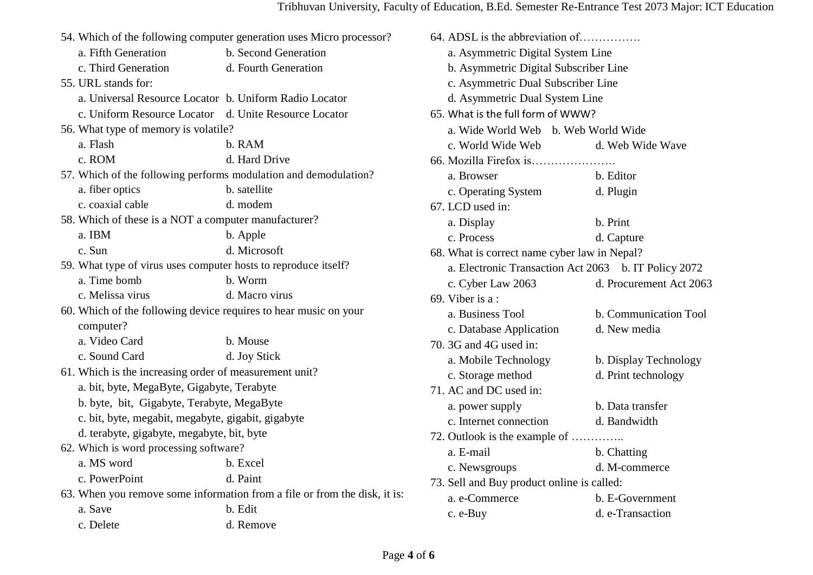|                                                                  | 54. Which of the following computer generation uses Micro processor?      |
|------------------------------------------------------------------|---------------------------------------------------------------------------|
| a. Fifth Generation                                              | b. Second Generation                                                      |
| c. Third Generation                                              | d. Fourth Generation                                                      |
| 55. URL stands for:                                              |                                                                           |
| a. Universal Resource Locator b. Uniform Radio Locator           |                                                                           |
| c. Uniform Resource Locator d. Unite Resource Locator            |                                                                           |
| 56. What type of memory is volatile?                             |                                                                           |
| a. Flash                                                         | b. RAM                                                                    |
| c. ROM                                                           | d. Hard Drive                                                             |
| 57. Which of the following performs modulation and demodulation? |                                                                           |
| a. fiber optics                                                  | b. satellite                                                              |
| c. coaxial cable                                                 | d. modem                                                                  |
| 58. Which of these is a NOT a computer manufacturer?             |                                                                           |
| a. IBM                                                           | b. Apple                                                                  |
| c. Sun                                                           | d. Microsoft                                                              |
| 59. What type of virus uses computer hosts to reproduce itself?  |                                                                           |
| a. Time bomb                                                     | b. Worm                                                                   |
| c. Melissa virus                                                 | d. Macro virus                                                            |
| 60. Which of the following device requires to hear music on your |                                                                           |
| computer?                                                        |                                                                           |
| a. Video Card                                                    | b. Mouse                                                                  |
| c. Sound Card                                                    | d. Joy Stick                                                              |
| 61. Which is the increasing order of measurement unit?           |                                                                           |
| a. bit, byte, MegaByte, Gigabyte, Terabyte                       |                                                                           |
| b. byte, bit, Gigabyte, Terabyte, MegaByte                       |                                                                           |
| c. bit, byte, megabit, megabyte, gigabit, gigabyte               |                                                                           |
| d. terabyte, gigabyte, megabyte, bit, byte                       |                                                                           |
| 62. Which is word processing software?                           |                                                                           |
| a. MS word                                                       | b. Excel                                                                  |
| c. PowerPoint                                                    | d. Paint                                                                  |
|                                                                  | 63. When you remove some information from a file or from the disk, it is: |
| a. Save                                                          | b. Edit                                                                   |
| c. Delete                                                        | d. Remove                                                                 |

| 64. ADSL is the abbreviation of              |                                                      |  |  |
|----------------------------------------------|------------------------------------------------------|--|--|
| a. Asymmetric Digital System Line            |                                                      |  |  |
|                                              | b. Asymmetric Digital Subscriber Line                |  |  |
| c. Asymmetric Dual Subscriber Line           |                                                      |  |  |
| d. Asymmetric Dual System Line               |                                                      |  |  |
| 65. What is the full form of WWW?            |                                                      |  |  |
| a. Wide World Web b. Web World Wide          |                                                      |  |  |
| c. World Wide Web                            | d. Web Wide Wave                                     |  |  |
|                                              |                                                      |  |  |
| a. Browser                                   | b. Editor                                            |  |  |
| c. Operating System                          | d. Plugin                                            |  |  |
| 67. LCD used in:                             |                                                      |  |  |
| a. Display                                   | b. Print                                             |  |  |
| c. Process                                   | d. Capture                                           |  |  |
| 68. What is correct name cyber law in Nepal? |                                                      |  |  |
|                                              | a. Electronic Transaction Act 2063 b. IT Policy 2072 |  |  |
| c. Cyber Law 2063                            | d. Procurement Act 2063                              |  |  |
| 69. Viber is $a$ :                           |                                                      |  |  |
| a. Business Tool                             | b. Communication Tool                                |  |  |
| c. Database Application                      | d. New media                                         |  |  |
| 70. 3G and 4G used in:                       |                                                      |  |  |
| a. Mobile Technology                         | b. Display Technology                                |  |  |
| c. Storage method                            | d. Print technology                                  |  |  |
| 71. AC and DC used in:                       |                                                      |  |  |
| a. power supply                              | b. Data transfer                                     |  |  |
| c. Internet connection                       | d. Bandwidth                                         |  |  |
| 72. Outlook is the example of                |                                                      |  |  |
| a. E-mail                                    | b. Chatting                                          |  |  |
| c. Newsgroups                                | d. M-commerce                                        |  |  |
| 73. Sell and Buy product online is called:   |                                                      |  |  |
| a. e-Commerce                                | b. E-Government                                      |  |  |
| c. e-Buy                                     | d. e-Transaction                                     |  |  |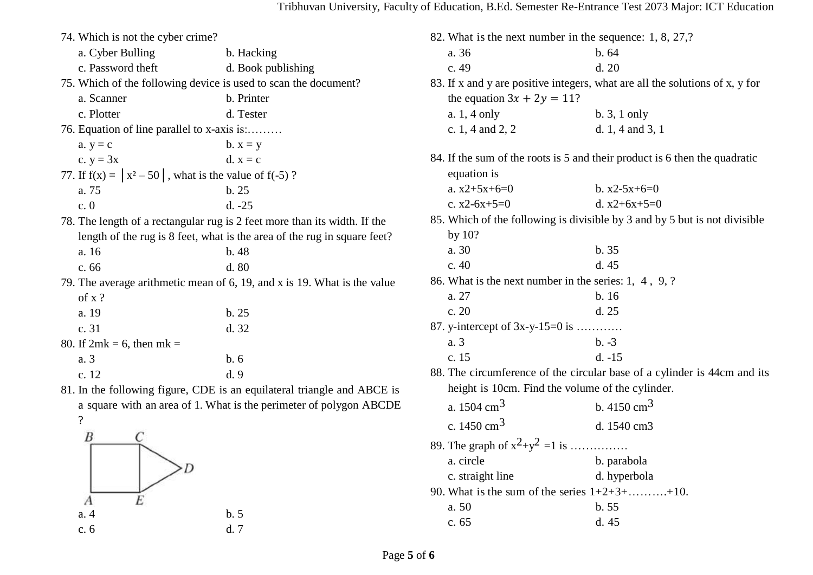| 74. Which is not the cyber crime?                           |                                                                           | 8              |
|-------------------------------------------------------------|---------------------------------------------------------------------------|----------------|
| a. Cyber Bulling                                            | b. Hacking                                                                |                |
| c. Password theft                                           | d. Book publishing                                                        |                |
|                                                             | 75. Which of the following device is used to scan the document?           | 8 <sup>°</sup> |
| a. Scanner                                                  | b. Printer                                                                |                |
| c. Plotter                                                  | d. Tester                                                                 |                |
| 76. Equation of line parallel to x-axis is:                 |                                                                           |                |
| $a. y = c$                                                  | $b. x = y$                                                                |                |
| c. $y = 3x$                                                 | $d. x = c$                                                                | 8              |
| 77. If $f(x) =  x^2 - 50 $ , what is the value of $f(-5)$ ? |                                                                           |                |
| a. 75                                                       | b. 25                                                                     |                |
| c.0                                                         | $d. -25$                                                                  |                |
|                                                             | 78. The length of a rectangular rug is 2 feet more than its width. If the | 8              |
|                                                             | length of the rug is 8 feet, what is the area of the rug in square feet?  |                |
| a. 16                                                       | b. 48                                                                     |                |
| c. 66                                                       | d. 80                                                                     |                |
|                                                             | 79. The average arithmetic mean of 6, 19, and x is 19. What is the value  | 8 <sub>0</sub> |
| of x?                                                       |                                                                           |                |
| a. 19                                                       | b. 25                                                                     |                |
| c. 31                                                       | d. 32                                                                     | 8 <sup>′</sup> |
| 80. If $2mk = 6$ , then $mk =$                              |                                                                           |                |
| a. 3                                                        | b.6                                                                       |                |
| c. 12                                                       | d.9                                                                       | 8              |
|                                                             | 81. In the following figure, CDE is an equilateral triangle and ABCE is   |                |
|                                                             | a square with an area of 1. What is the perimeter of polygon ABCDE        |                |
| $\overline{\cdot}$                                          |                                                                           |                |
| B                                                           |                                                                           | 8 <sup>1</sup> |
|                                                             |                                                                           |                |
|                                                             |                                                                           |                |
|                                                             |                                                                           | 9              |
|                                                             |                                                                           |                |

a. 4 b. 5 c. 6 d. 7

| 82. What is the next number in the sequence: 1, 8, 27,? |                                                       |                                                                              |  |
|---------------------------------------------------------|-------------------------------------------------------|------------------------------------------------------------------------------|--|
|                                                         | a. 36                                                 | b.64                                                                         |  |
|                                                         | c. 49                                                 | d. 20                                                                        |  |
|                                                         |                                                       | 83. If x and y are positive integers, what are all the solutions of x, y for |  |
|                                                         | the equation $3x + 2y = 11$ ?                         |                                                                              |  |
|                                                         | a. 1, 4 only                                          | b. 3, 1 only                                                                 |  |
|                                                         | c. 1, 4 and 2, 2                                      | d. $1, 4$ and $3, 1$                                                         |  |
|                                                         |                                                       | 84. If the sum of the roots is 5 and their product is 6 then the quadratic   |  |
|                                                         | equation is                                           |                                                                              |  |
|                                                         | a. $x2+5x+6=0$                                        | b. $x2-5x+6=0$                                                               |  |
|                                                         | c. $x2-6x+5=0$                                        | d. $x2+6x+5=0$                                                               |  |
|                                                         |                                                       | 85. Which of the following is divisible by 3 and by 5 but is not divisible   |  |
|                                                         | by $10?$                                              |                                                                              |  |
|                                                         | a. 30                                                 | b. 35                                                                        |  |
|                                                         | c.40                                                  | d. 45                                                                        |  |
|                                                         | 86. What is the next number in the series: 1, 4, 9, ? |                                                                              |  |
|                                                         | a. 27                                                 | b. 16                                                                        |  |
|                                                         | c. 20                                                 | d.25                                                                         |  |
|                                                         | 87. y-intercept of $3x-y-15=0$ is                     |                                                                              |  |
|                                                         | a. 3                                                  | $b. -3$                                                                      |  |
|                                                         | c. 15                                                 | $d. -15$                                                                     |  |
|                                                         |                                                       | 88. The circumference of the circular base of a cylinder is 44cm and its     |  |
|                                                         | height is 10cm. Find the volume of the cylinder.      |                                                                              |  |
|                                                         | a. $1504 \text{ cm}^3$                                | b. $4150 \text{ cm}^3$                                                       |  |
|                                                         | c. 1450 cm <sup>3</sup>                               | d. 1540 cm3                                                                  |  |
|                                                         | 89. The graph of $x^2+y^2 = 1$ is                     |                                                                              |  |
|                                                         | a. circle                                             | b. parabola                                                                  |  |
|                                                         | c. straight line                                      | d. hyperbola                                                                 |  |
|                                                         | 90. What is the sum of the series $1+2+3+\ldots+10$ . |                                                                              |  |
|                                                         | a. 50                                                 | b. 55                                                                        |  |
|                                                         | c. 65                                                 | d. 45                                                                        |  |